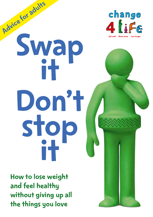

# Advice for adults Swap it Don't stop it

How to lose weight and feel healthy without giving up all the things you love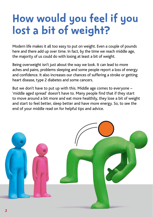## How would you feel if you lost a bit of weight?

Modern life makes it all too easy to put on weight. Even a couple of pounds here and there add up over time. In fact, by the time we reach middle age, the majority of us could do with losing at least a bit of weight.

Being overweight isn't just about the way we look. It can lead to more aches and pains, problems sleeping and some people report a loss of energy and confidence. It also increases our chances of suffering a stroke or getting heart disease, type 2 diabetes and some cancers.

But we don't have to put up with this. Middle age comes to everyone – 'middle aged spread' doesn't have to. Many people find that if they start to move around a bit more and eat more healthily, they lose a bit of weight and start to feel better, sleep better and have more energy. So, to see the end of your middle read on for helpful tips and advice.

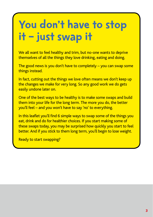## You don't have to stop it – just swap it

We all want to feel healthy and trim, but no-one wants to deprive themselves of all the things they love drinking, eating and doing.

The good news is you don't have to completely – you can swap some things instead.

In fact, cutting out the things we love often means we don't keep up the changes we make for very long. So any good work we do gets easily undone later on.

One of the best ways to be healthy is to make some swaps and build them into your life for the long term. The more you do, the better you'll feel – and you won't have to say 'no' to everything.

In this leaflet you'll find 6 simple ways to swap some of the things you eat, drink and do for healthier choices. If you start making some of these swaps today, you may be surprised how quickly you start to feel better. And if you stick to them long term, you'll begin to lose weight.

Ready to start swapping?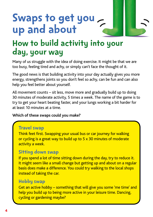### Swaps to get you up and about

### How to build activity into your day, your way

Many of us struggle with the idea of doing exercise. It might be that we are too busy, feeling tired and achy, or simply can't face the thought of it.

The good news is that building activity into your day actually gives you more energy, strengthens joints so you don't feel so achy, can be fun and can also help you feel better about yourself.

All movement counts – sit less, move more and gradually build up to doing 30 minutes of moderate activity, 5 times a week. The name of the game is to try to get your heart beating faster, and your lungs working a bit harder for at least 10 minutes at a time.

#### **Which of these swaps could you make?**

### Travel swap

Think feet first. Swapping your usual bus or car journey for walking or cycling is a great way to build up to 5 x 30 minutes of moderate activity a week.

### Sitting down swap

If you spend a lot of time sitting down during the day, try to reduce it. It might seem like a small change but getting up and about on a regular basis does make a difference. You could try walking to the local shops instead of taking the car.

### Hobby swap

Get an active hobby – something that will give you some 'me time' and help you build up to being more active in your leisure time. Dancing, cycling or gardening maybe?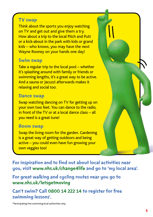### TV swap

Think about the sports you enjoy watching on TV and get out and give them a try. How about a trip to the local Pitch and Putt or a kick-about in the park with kids or grand kids – who knows, you may have the next Wayne Rooney on your hands one day!

#### Swim swap

Take a regular trip to the local pool – whether it's splashing around with family or friends or swimming lengths, it's a great way to be active. And a sauna or Jacuzzi afterwards makes it relaxing and social too.

#### Dance swap

Swap watching dancing on TV for getting up on your own two feet. You can dance to the radio, in front of the TV or at a local dance class – all you need is a great tune!

### Room swap

Swap the living room for the garden. Gardening is a great way of getting outdoors and being active – you could even have fun growing your own veggies too!

For inspiration and to find out about local activities near you, visit [www.nhs.uk/change4life an](http://www.nhs.uk/change4life)d go to 'my local area'.

For great walking and cycling routes near you go to [www.nhs.uk/letsgetmoving](http://www.nhs.uk/letsgetmoving)

Can't swim? Call 0800 14 222 14 to register for free swimming lessons\* .

\*Participating free swimming local authorities only.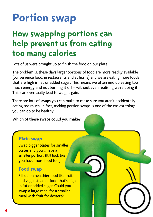# Portion swap

### How swapping portions can help prevent us from eating too many calories

Lots of us were brought up to finish the food on our plate.

The problem is, these days larger portions of food are more readily available (convenience food, in restaurants and at home) and we are eating more foods that are high in fat or added sugar. This means we often end up eating too much energy and not burning it off – without even realising we're doing it. This can eventually lead to weight gain.

There are lots of swaps you can make to make sure you aren't accidentally eating too much. In fact, making portion swaps is one of the easiest things you can do to be healthy.

#### **Which of these swaps could you make?**

### Plate swap

Swap bigger plates for smaller plates and you'll have a smaller portion. (It'll look like you have more food too.)

### Food swap

Fill up on healthier food like fruit and veg instead of food that's high in fat or added sugar. Could you swap a large meal for a smaller meal with fruit for dessert?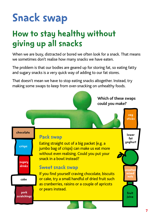# Snack swap

### How to stay healthy without giving up all snacks

When we are busy, distracted or bored we often look for a snack. That means we sometimes don't realise how many snacks we have eaten.

The problem is that our bodies are geared up for storing fat, so eating fatty and sugary snacks is a very quick way of adding to our fat stores.

That doesn't mean we have to stop eating snacks altogether. Instead, try making some swaps to keep from over-snacking on unhealthy foods.

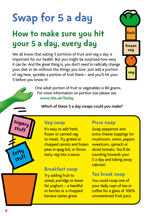# Swap for 5 a day

### How to make sure you hit your 5 a day, every day

We all know that eating 5 portions of fruit and veg a day is important for our health. But you might be surprised how easy it can be. And the great thing is, you don't need to radically change your diet or do without the things you love. Just add a portion of veg here, sprinkle a portion of fruit there – and you'll hit your 5 before you know it!

> One adult portion of fruit or vegetables is 80 grams. For more information on portion size please see  **[www.nhs.uk/5aday](http://www.nhs.uk/5aday)**

**Which of these 5 a day swaps could you make?**



### Veg swap

It's easy to add fresh, frozen or canned veg to meals. Try grated or chopped carrots and frozen peas in spag bol, or throw tasty veg into a sauce.

### Breakfast swap

Try adding fruit to cereal, porridge or lower fat yoghurt – a handful or berries or a chopped banana tastes great.

#### Pizza swap

Swap pepperoni and extra cheese toppings for mushroom, onion, pepper, sweetcorn, spinach or sliced tomato. You'll be counting towards your 5 a day and taking away calories!

fruit

frozen veg

veg

#### Tea break swap

You could swap one of your daily cups of tea or coffee for a glass of 100% unsweetened fruit juice.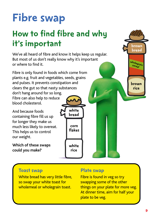# Fibre swap

### How to find fibre and why it's important

We've all heard of fibre and know it helps keep us regular. But most of us don't really know why it's important or where to find it.

Fibre is only found in foods which come from plants e.g. fruit and vegetables, seeds, grains and pulses. It prevents constipation and clears the gut so that nasty substances don't hang around for so long. Fibre can also help to reduce blood cholesterol.

And because foods containing fibre fill us up for longer they make us much less likely to overeat. This helps us to control our weight.

**Which of these swaps could you make?**

corn flakes white rice white bread

### Toast swap

White bread has very little fibre, so swap your white toast for wholemeal or wholegrain toast.

### Plate swap

Fibre is found in veg so try swapping some of the other things on your plate for more veg. At dinner time, aim for half your plate to be veg.

brown rice

wholegrain<br>cereal

brown bread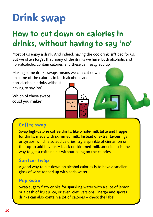# Drink swap

### How to cut down on calories in drinks, without having to say 'no'

Most of us enjoy a drink. And indeed, having the odd drink isn't bad for us. But we often forget that many of the drinks we have, both alcoholic and non-alcoholic, contain calories, and these can really add up.

> sugary drink

Making some drinks swaps means we can cut down on some of the calories in both alcoholic and

non-alcoholic drinks without having to say 'no'.

**Which of these swaps could you make?**

### Coffee swap

Swap high-calorie coffee drinks like whole-milk latte and frappe for drinks made with skimmed milk. Instead of extra flavourings or syrups, which also add calories, try a sprinkle of cinnamon on the top to add flavour. A black or skimmed-milk americano is one way to get a caffeine hit without piling on the calories.

### Spritzer swap

A good way to cut down on alcohol calories is to have a smaller glass of wine topped up with soda water.

#### Pop swap

Swap sugary fizzy drinks for sparkling water with a slice of lemon or a dash of fruit juice, or even 'diet' versions. Energy and sports drinks can also contain a lot of calories – check the label.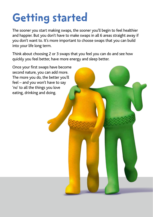# Getting started

The sooner you start making swaps, the sooner you'll begin to feel healthier and happier. But you don't have to make swaps in all 6 areas straight away if you don't want to. It's more important to choose swaps that you can build into your life long term.

Think about choosing 2 or 3 swaps that you feel you can do and see how quickly you feel better, have more energy and sleep better.

Once your first swaps have become second nature, you can add more. The more you do, the better you'll feel – and you won't have to say 'no' to all the things you love eating, drinking and doing.